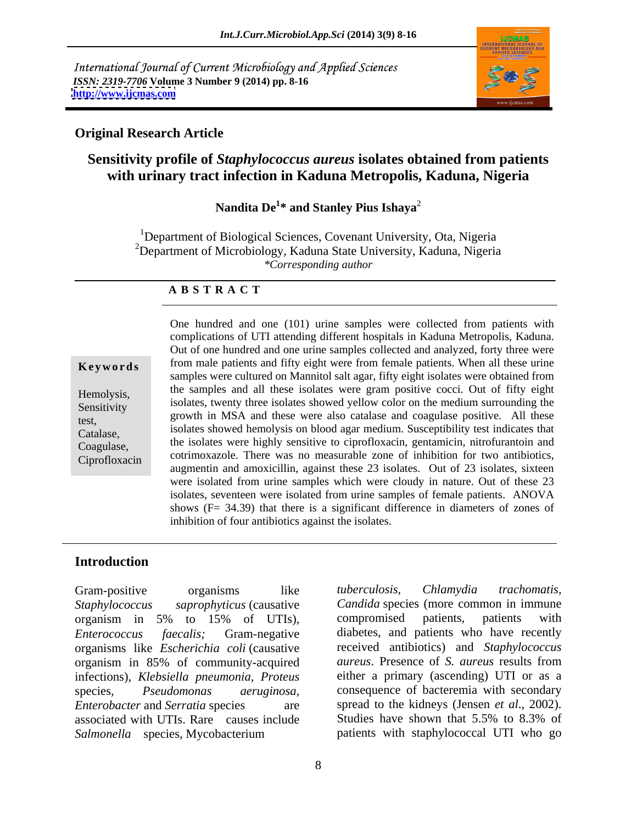International Journal of Current Microbiology and Applied Sciences *ISSN: 2319-7706* **Volume 3 Number 9 (2014) pp. 8-16 <http://www.ijcmas.com>**



### **Original Research Article**

## **Sensitivity profile of** *Staphylococcus aureus* **isolates obtained from patients with urinary tract infection in Kaduna Metropolis, Kaduna, Nigeria**

**Nandita De<sup>1</sup> \* and Stanley Pius Ishaya**<sup>2</sup>

<sup>1</sup>Department of Biological Sciences, Covenant University, Ota, Nigeria <sup>2</sup>Department of Microbiology, Kaduna State University, Kaduna, Nigeria *\*Corresponding author* 

### **A B S T R A C T**

**Keywords** from male patients and fifty eight were from female patients. When all these urine Hemolysis, the samples and all these isolates were gram positive cocci. Out of fifty eight isolates, twenty three isolates showed yellow color on the medium surrounding the exercisely<br>test, growth in MSA and these were also catalase and coagulase positive. All these Catalase, isolates showed hemolysis on blood agar medium. Susceptibility test indicates that Coagulase, the isolates were highly sensitive to ciprofloxacin, gentamicin, nitrofurantoin and Ciprofloxacin cotrimoxazole. There was no measurable zone of inhibition for two antibiotics, One hundred and one (101) urine samples were collected from patients with complications of UTI attending different hospitals in Kaduna Metropolis, Kaduna. Out of one hundred and one urine samples collected and analyzed, forty threewere samples were cultured on Mannitol salt agar, fifty eight isolates were obtained from the samples and all these isolates were gram positive cocci. Out of fifty eight augmentin and amoxicillin, against these 23 isolates. Out of 23 isolates, sixteen were isolated from urine samples which were cloudy in nature. Out of these 23 isolates, seventeen were isolated from urine samples of female patients. ANOVA shows  $(F = 34.39)$  that there is a significant difference in diameters of zones of inhibition of four antibiotics against the isolates.

### **Introduction**

*Staphylococcus saprophyticus* (causative *Candida* species (more common in immune organism in 5% to 15% of UTIs), *Enterococcus faecalis;* Gram-negative diabetes, and patients who have recently organisms like *Escherichia coli* (causative organism in 85% of community-acquired infections), *Klebsiella pneumonia, Proteus* species*, Pseudomonas aeruginosa,* consequence of bacteremia with secondary *Enterobacter* and *Serratia* species are spread to the kidneys (Jensen *et al.*, 2002). associated with UTIs. Rare causes include *Salmonella* species, Mycobacterium

Gram-positive organisms like *tuberculosis*, *Chlamydia trachomatis*, *tuberculosis, Chlamydia trachomatis,* compromised patients, patients with received antibiotics) and *Staphylococcus aureus*. Presence of *S. aureus* results from either a primary (ascending) UTI or as a Studies have shown that 5.5% to 8.3% of patients with staphylococcal UTI who go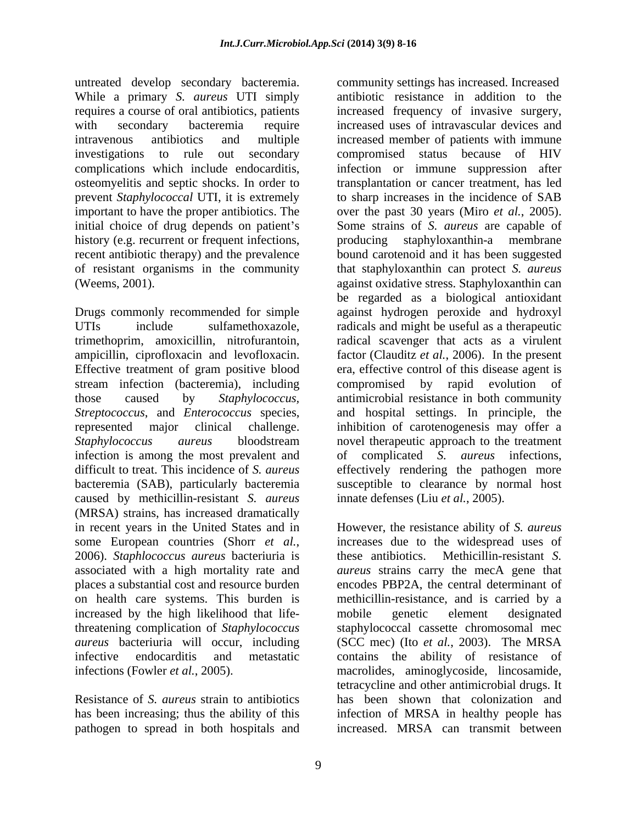untreated develop secondary bacteremia. While a primary *S. aureus* UTI simply initial choice of drug depends on patient's history (e.g. recurrent or frequent infections, producing staphyloxanthin-a membrane

stream infection (bacteremia), including compromised by rapid evolution of infection is among the most prevalent and of complicated S. *aureus* infections, caused by methicillin-resistant *S. aureus* (MRSA) strains, has increased dramatically on health care systems. This burden is increased by the high likelihood that life-

pathogen to spread in both hospitals and

requires a course of oral antibiotics, patients increased frequency of invasive surgery, with secondary bacteremia require increased uses of intravascular devices and intravenous antibiotics and multiple increased member of patients with immune investigations to rule out secondary compromised status because of HIV complications which include endocarditis, infection or immune suppression after osteomyelitis and septic shocks. In order to transplantation or cancer treatment, has led prevent *Staphylococcal* UTI, it is extremely to sharp increases in the incidence of SAB important to have the proper antibiotics. The over the past 30 years (Miro *et al.*, 2005). recent antibiotic therapy) and the prevalence bound carotenoid and it has been suggested of resistant organisms in the community that staphyloxanthin can protect *S. aureus* (Weems, 2001). against oxidative stress. Staphyloxanthin can Drugs commonly recommended for simple against hydrogen peroxide and hydroxyl UTIs include sulfamethoxazole, radicals and might be useful as a therapeutic trimethoprim, amoxicillin, nitrofurantoin, radical scavenger that acts as a virulent ampicillin, ciprofloxacin and levofloxacin. factor (Clauditz *et al.*, 2006). In the present Effective treatment of gram positive blood era, effective control of this disease agent is those caused by *Staphylococcus,*  antimicrobial resistance in both community *Streptococcus*, and *Enterococcus* species, and hospital settings. In principle, the represented major clinical challenge. inhibition of carotenogenesis may offer a *Staphylococcus aureus* bloodstream novel therapeutic approach to the treatment difficult to treat. This incidence of *S. aureus* effectively rendering the pathogen more bacteremia (SAB), particularly bacteremia susceptible to clearance by normal host community settings has increased. Increased antibiotic resistance in addition to the Some strains of *S. aureus* are capable of producing staphyloxanthin-a membrane be regarded as a biological antioxidant compromised by rapid evolution of complicated *S. aureus* infections, innate defenses (Liu *et al.*, 2005).

in recent years in the United States and in However, the resistance ability of *S. aureus* some European countries (Shorr *et al.*, increases due to the widespread uses of 2006). *Staphlococcus aureus* bacteriuria is these antibiotics. Methicillin-resistant *S*. associated with a high mortality rate and *aureus* strains carry the mecA gene that places a substantial cost and resource burden encodes PBP2A, the central determinant of threatening complication of *Staphylococcus*  staphylococcal cassette chromosomal mec *aureus* bacteriuria will occur, including (SCC mec) (Ito *et al.*, 2003). The MRSA infective endocarditis and metastatic contains the ability of resistance of infections (Fowler *et al.*, 2005). macrolides, aminoglycoside, lincosamide, Resistance of *S. aureus* strain to antibiotics has been shown that colonization and has been increasing; thus the ability of this infection of MRSA in healthy people has increases due to the widespread uses of these antibiotics. Methicillin-resistant *S.*  methicillin-resistance, and is carried by a mobile genetic element designated tetracycline and other antimicrobial drugs. It increased. MRSA can transmit between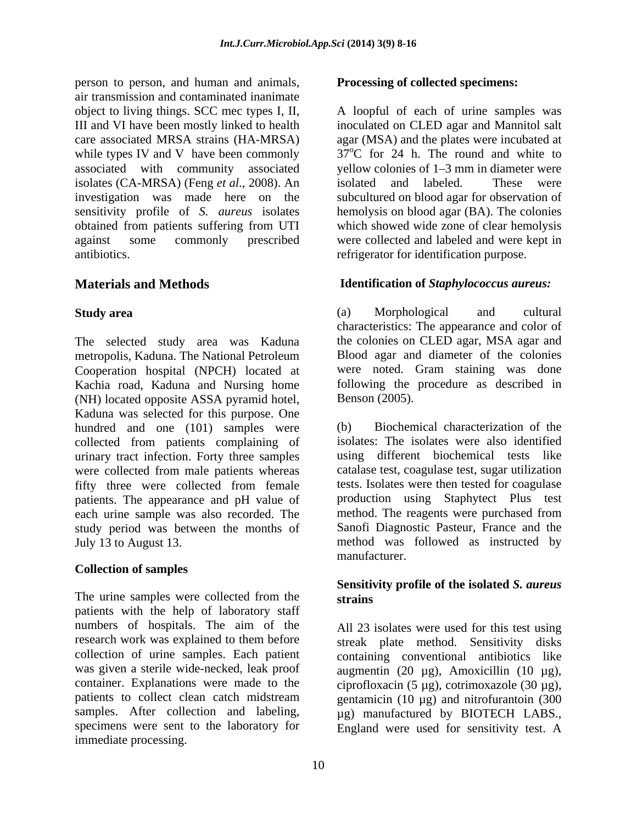person to person, and human and animals, air transmission and contaminated inanimate object to living things. SCC mec types I, II, A loopful of each of urine samples was III and VI have been mostly linked to health inoculated on CLED agar and Mannitol salt care associated MRSA strains (HA-MRSA) agar (MSA) and the plates were incubated at while types IV and V have been commonly associated with community associated isolates (CA-MRSA) (Feng *et al*., 2008). An investigation was made here on the subcultured on blood agar for observation of sensitivity profile of *S. aureus* isolates hemolysis on blood agar (BA). The colonies obtained from patients suffering from UTI against some commonly prescribed were collected and labeled and were kept in antibiotics. refrigerator for identification purpose.

The selected study area was Kaduna metropolis, Kaduna. The National Petroleum Cooperation hospital (NPCH) located at Kachia road, Kaduna and Nursing home following the<br>
(NH) located opposite ASSA pyramid hotel. Benson (2005). (NH) located opposite ASSA pyramid hotel, Kaduna was selected for this purpose. One hundred and one (101) samples were (b) Biochemical characterization of the collected from patients complaining of urinary tract infection. Forty three samples were collected from male patients whereas fifty three were collected from female patients. The appearance and pH value of each urine sample was also recorded. The study period was between the months of July 13 to August 13.

### **Collection of samples**

The urine samples were collected from the strains patients with the help of laboratory staff numbers of hospitals. The aim of the research work was explained to them before streak plate method. Sensitivity disks collection of urine samples. Each patient containing conventional antibiotics like was given a sterile wide-necked, leak proof augmentin (20 µg), Amoxicillin (10 µg), container. Explanations were made to the ciprofloxacin  $(5 \mu g)$ , cotrimoxazole  $(30 \mu g)$ , patients to collect clean catch midstream gentamicin (10 µg) and nitrofurantoin (300 samples. After collection and labeling,  $\mu$ g) manufactured by BIOTECH LABS., specimens were sent to the laboratory for England were used for sensitivity test. Aimmediate processing.

### **Processing of collected specimens:**

 $37^{\circ}$ C for 24 h. The round and white to vellow colonies of  $1-3$  mm in diameter were isolated and labeled. These were which showed wide zone of clear hemolysis

# **Materials and Methods Identification of** *Staphylococcus aureus:*

**Study area** (a) Morphological and cultural (a) Morphological and cultural characteristics: The appearance and color of the colonies on CLED agar, MSA agar and Blood agar and diameter of the colonies were noted. Gram staining was done following the procedure as described in

July 13 to August 13. method was followed as instructed by Benson (2005).<br>(b) Biochemical characterization of the isolates: The isolates were also identified using different biochemical tests like catalase test, coagulase test, sugar utilization tests. Isolates were then tested for coagulase production using Staphytect Plus test method. The reagents were purchased from Sanofi Diagnostic Pasteur, France and the manufacturer.

### **Sensitivity profile of the isolated** *S. aureus* **strains**

All 23 isolates were used for this test using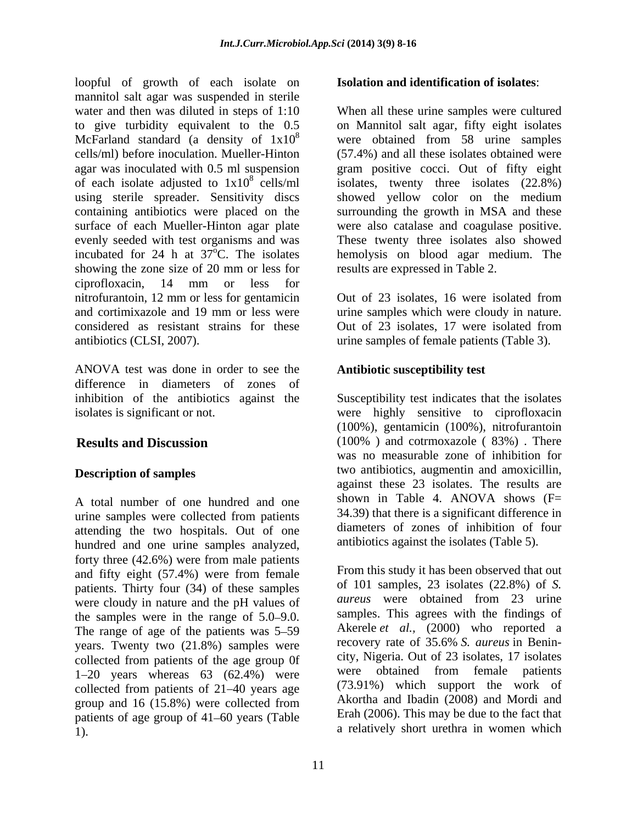loopful of growth of each isolate on mannitol salt agar was suspended in sterile water and then was diluted in steps of 1:10 When all these urine samples were cultured to give turbidity equivalent to the 0.5 on Mannitol salt agar, fifty eight isolates McFarland standard (a density of  $1x10^8$ cells/ml) before inoculation. Mueller-Hinton (57.4%) and all these isolates obtained were agar was inoculated with 0.5 ml suspension gram positive cocci. Out of fifty eight of each isolate adjusted to  $1x10^8$  cells/ml isolates, twenty three isolates (22.8%) using sterile spreader. Sensitivity discs showed yellow color on the medium containing antibiotics were placed on the surrounding the growth in MSA and these surface of each Mueller-Hinton agar plate were also catalase and coagulase positive. evenly seeded with test organisms and was These twenty three isolates also showed incubated for 24 h at  $37^{\circ}$ C. The isolates hemolysis on blood agar medium. The showing the zone size of 20 mm or less for ciprofloxacin, 14 mm or less for nitrofurantoin, 12 mm or less for gentamicin Out of 23 isolates, 16 were isolated from and cortimixazole and 19 mm or less were urine samples which were cloudy in nature. considered as resistant strains for these Out of 23 isolates, 17 were isolated from antibiotics (CLSI, 2007). urine samples of female patients (Table 3).

ANOVA test was done in order to see the difference in diameters of zones of inhibition of the antibiotics against the Susceptibility test indicates that the isolates isolates is significant or not. were highly sensitive to ciprofloxacin

A total number of one hundred and one urine samples were collected from patients  $34.39$  that there is a significant difference in attending the two hospitals. Out of one hundred and one urine samples analyzed, forty three (42.6%) were from male patients patients. Thirty four (34) of these samples  $\frac{\text{of}}{\text{of}}$  of 101 samples, 23 isolates (22.8%) of S. were cloudy in nature and the pH values of the samples were in the range of  $5.0-9.0$ . The range of age of the patients was  $5-59$ years. Twenty two (21.8%) samples were collected from patients of the age group 0f  $1-20$  years whereas  $63$   $(62.4\%)$  were collected from patients of  $21-40$  years age group and 16 (15.8%) were collected from patients of age group of  $41-60$  years (Table 1). The contract of the contract a relatively short urethra in women which a relatively short urethra in women which

## **Isolation and identification of isolates**:

were obtained from 58 urine samples were obtained from 58 urine samples results are expressed in Table 2.

Out of 23 isolates, 17 were isolated from

## **Antibiotic susceptibility test**

**Results and Discussion** (100% ) and cotrmoxazole ( 83%) . There **Description of samples** two antibiotics, augmentin and amoxicillin, (100%), gentamicin (100%), nitrofurantoin was no measurable zone of inhibition for against these 23 isolates. The results are shown in Table 4. ANOVA shows  $(F=$ 34.39) that there is a significant difference in diameters of zones of inhibition of four antibiotics against the isolates (Table 5).

and fifty eight (57.4%) were from female From this study it has been observed that out From this study it has been observed that out of 101 samples, 23 isolates (22.8%) of *S. aureus* were obtained from 23 urine samples. This agrees with the findings of Akerele *et al.,* (2000) who reported a recovery rate of 35.6% *S. aureus* in Benin city, Nigeria. Out of 23 isolates, 17 isolates were obtained from female patients (73.91%) which support the work of Akortha and Ibadin (2008) and Mordi and Erah (2006). This may be due to the fact that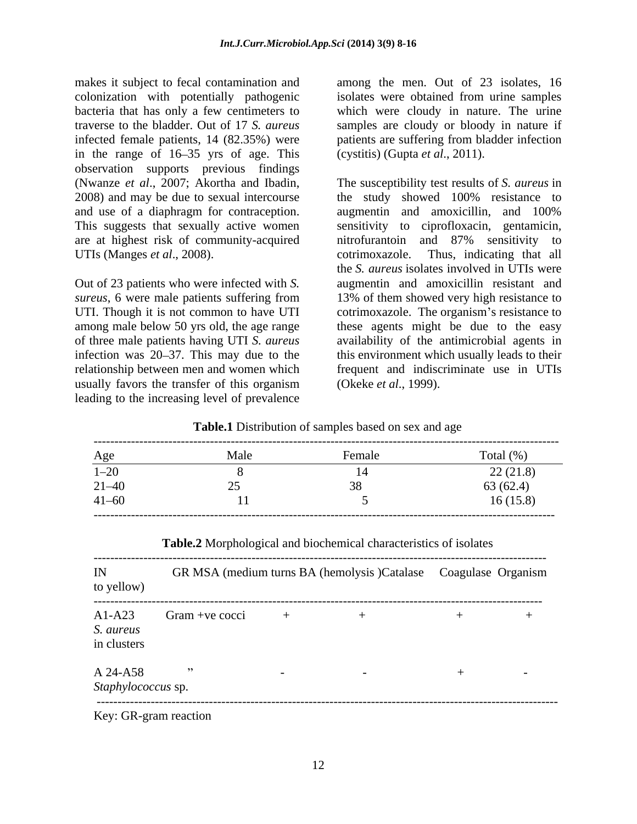makes it subject to fecal contamination and among the men. Out of 23 isolates, 16 colonization with potentially pathogenic bacteria that has only a few centimeters to which were cloudy in nature. The urine traverse to the bladder. Out of 17 *S. aureus* samples are cloudy or bloody in nature if infected female patients, 14 (82.35%) were patients are suffering from bladder infection in the range of  $16-35$  yrs of age. This observation supports previous findings (Nwanze *et al*., 2007; Akortha and Ibadin, 2008) and may be due to sexual intercourse the study showed 100% resistance to and use of a diaphragm for contraception. augmentin and amoxicillin, and 100% are at highest risk of community-acquired UTIs (Manges *et al.*, 2008). cotrimoxazole. Thus, indicating that all

Out of 23 patients who were infected with *S.* usually favors the transfer of this organism (Okeke *et al.*, 1999). leading to the increasing level of prevalence

isolates were obtained from urine samples (cystitis) (Gupta *et al*., 2011).

This suggests that sexually active women sensitivity to ciprofloxacin, gentamicin, *sureus*, 6 were male patients suffering from 13% of them showed very high resistance to UTI. Though it is not common to have UTI cotrimoxazole. The organism's resistance to among male below 50 yrs old, the age range these agents might be due to the easy of three male patients having UTI *S. aureus* availability of the antimicrobial agents in infection was 20–37. This may due to the this environment which usually leads to their relationship between men and women which frequent and indiscriminate use in UTIs The susceptibility test results of *S. aureus* in the study showed 100% resistance to augmentin and amoxicillin, and 100% nitrofurantoin and 87% sensitivity to cotrimoxazole. Thus, indicating that all the *S. aureus* isolates involved in UTIs were augmentin and amoxicillin resistant and (Okeke *et al*., 1999).

|                      |      | <b>Example.</b> Distribution of samples based on sex and age |                 |
|----------------------|------|--------------------------------------------------------------|-----------------|
| Age                  | Male | Female                                                       | Total (% )      |
| $\Omega$<br>$1 - 20$ |      |                                                              | (21.0)<br>221.0 |
| $21 - 40$            |      |                                                              | 63(62.4)        |
| $41 - 60$            |      |                                                              | .6(15.8)        |
|                      |      |                                                              |                 |

**Table.1** Distribution of samples based on sex and age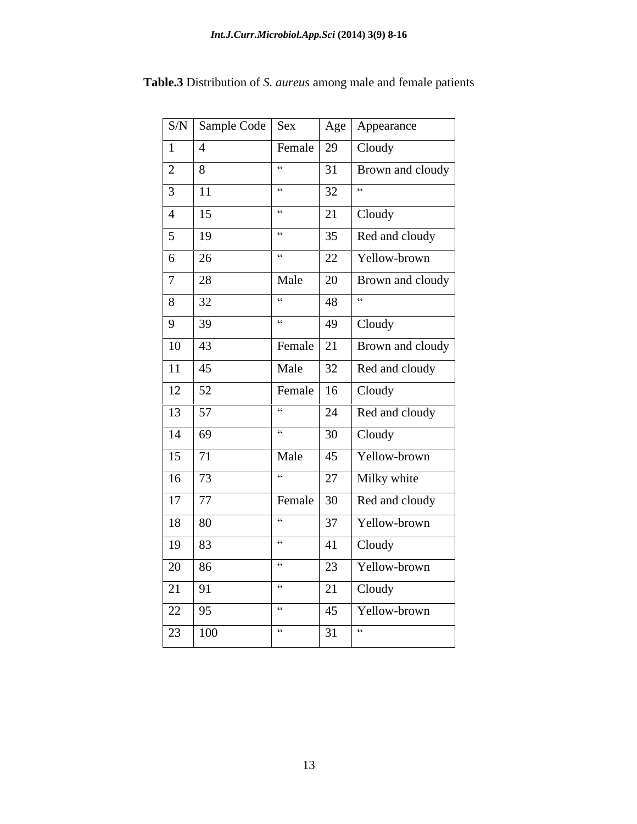|                                                                  | S/N   Sample Code   Sex |                         |                        | Age   Appearance                                                  |
|------------------------------------------------------------------|-------------------------|-------------------------|------------------------|-------------------------------------------------------------------|
| $\begin{vmatrix} 1 & \end{vmatrix}$ 4                            |                         | Female $\vert$ 29       |                        | Cloudy                                                            |
| $\boxed{2}$ 8                                                    |                         | $-66$                   |                        | 31   Brown and cloudy                                             |
| $\boxed{3}$ $\boxed{11}$                                         |                         | $-66$                   | 32                     | $-66$                                                             |
| $\begin{array}{ c c c } \hline 4 & 15 \end{array}$               |                         | - 66                    |                        | $\begin{array}{ c c c }\n\hline\n21 & \text{Cloudy}\n\end{array}$ |
| $\boxed{5}$ $\boxed{19}$                                         |                         | $-66$                   |                        | $35$ Red and cloudy                                               |
| $\begin{array}{ c c c c c } \hline 6 & 26 \\ \hline \end{array}$ |                         | $-66$                   | 22                     | Yellow-brown                                                      |
| $7 \mid 28$                                                      |                         | Male                    | 20                     | <b>Brown</b> and cloudy                                           |
| $\begin{array}{ c c c c c } \hline 8 & 32 \\ \hline \end{array}$ |                         | $66 -$                  | 48                     | $-66$                                                             |
| $\boxed{9}$ $\boxed{39}$                                         |                         | $-66$                   |                        | $49$ Cloudy                                                       |
| $\boxed{10}$ $\boxed{43}$                                        |                         | Female 21               |                        | <b>Brown</b> and cloudy                                           |
| $\boxed{11}$ $\boxed{45}$                                        |                         | Male                    |                        | 32 Red and cloudy                                                 |
| $\boxed{12}$ $\boxed{52}$                                        |                         | Female $\vert$ 16       |                        | Cloudy                                                            |
| $\boxed{13}$ $\boxed{57}$                                        |                         | $-66$                   |                        | $24$ Red and cloudy                                               |
| $\begin{array}{ c c c }\n\hline\n14 & 69\n\end{array}$           |                         | $-66$                   |                        | $30$ Cloudy                                                       |
| $15 \overline{\smash{\big)}\ 71}$                                |                         | Male                    |                        | 45   Yellow-brown                                                 |
| $16$ 73                                                          |                         | $-66$                   |                        | 27   Milky white                                                  |
| 17 77                                                            |                         | Female $\vert 30 \vert$ |                        | Red and cloudy                                                    |
| 18 80                                                            |                         | $-66$                   |                        | 37   Yellow-brown                                                 |
| 19 83                                                            |                         | $-66$                   |                        | $ 41 $ Cloudy                                                     |
| 20 86                                                            |                         | $-66$                   |                        | 23   Yellow-brown                                                 |
| $\boxed{21}$ 91                                                  |                         | $-66$                   |                        | $21$ Cloudy                                                       |
| 22 95                                                            |                         | $-66$                   |                        | 45   Yellow-brown                                                 |
|                                                                  | 23 100                  | $-66$                   | $31$ $\cdot\cdot\cdot$ |                                                                   |

**Table.3** Distribution of *S. aureus* among male and female patients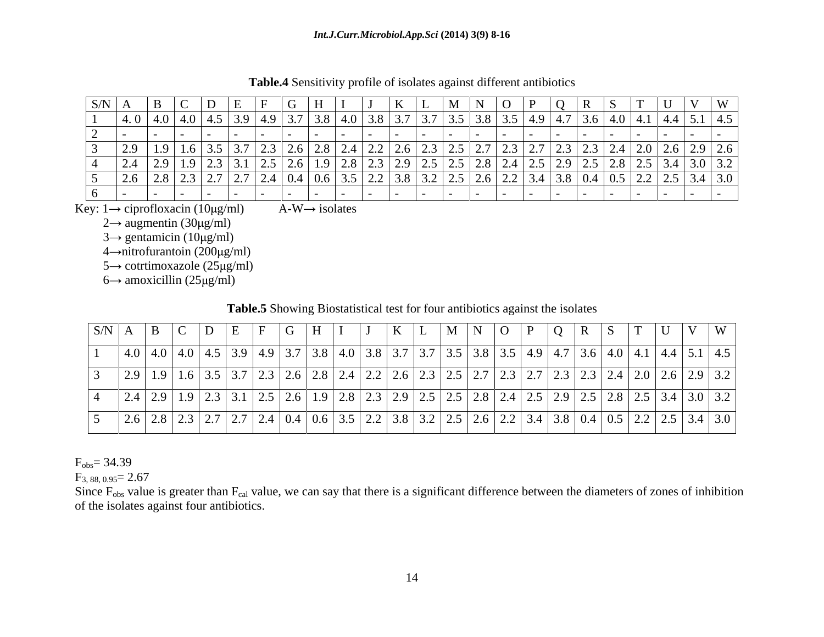| $\vert$ S/N $\vert$ A | $\mathbf{1}$ |                                                                 | ( <del>;</del> 1 H |                                                                                                             |          | $\blacksquare$<br>$\blacksquare$                                              | $\Box$                                                                                                                                                                                                                                                                                                                                                                                                                | IR. |                                                                                                                                                                                                                                      |          |
|-----------------------|--------------|-----------------------------------------------------------------|--------------------|-------------------------------------------------------------------------------------------------------------|----------|-------------------------------------------------------------------------------|-----------------------------------------------------------------------------------------------------------------------------------------------------------------------------------------------------------------------------------------------------------------------------------------------------------------------------------------------------------------------------------------------------------------------|-----|--------------------------------------------------------------------------------------------------------------------------------------------------------------------------------------------------------------------------------------|----------|
|                       |              | $(4.0 \pm 4.0 \pm 4.0)$ $(4.5 \pm 3.9 \pm 4.9 \pm 3.7 \pm 3.7)$ |                    |                                                                                                             |          |                                                                               | $(1.1 \times 1.3.5 \times 1.3.8 \times 3.5 \times 4.9 \times 4.7 \times 3.6 \times 4.0 \times 4.1 \times 4.4 \times 5.1 \times 10^{-4} \times 10^{-4} \times 10^{-4} \times 10^{-4} \times 10^{-4} \times 10^{-4} \times 10^{-4} \times 10^{-4} \times 10^{-4} \times 10^{-4} \times 10^{-4} \times 10^{-4} \times 10^{-4} \times 10^{-4} \times 10^{-4} \times 10^{-4} \times 10^{-4} \times 10^{-4} \times 10^{-4}$ |     |                                                                                                                                                                                                                                      | $14.5-1$ |
|                       |              |                                                                 |                    |                                                                                                             |          |                                                                               |                                                                                                                                                                                                                                                                                                                                                                                                                       |     |                                                                                                                                                                                                                                      |          |
|                       | - 191        | $161351371231261$                                               |                    |                                                                                                             | $\cdots$ | $2.3$   2.5   2.7   2.3   2.7   2.3   2.3   2.4   2.0   2.6   2.9   $\degree$ |                                                                                                                                                                                                                                                                                                                                                                                                                       |     |                                                                                                                                                                                                                                      |          |
|                       | 291191231    |                                                                 |                    | . 2.5   2.6   1.9   2.8   2.3   2.9   2.5   2.5   2.8   2.4   2.5   2.9   2.5   2.8   2.5   3.4   3.0   3.2 |          |                                                                               |                                                                                                                                                                                                                                                                                                                                                                                                                       |     |                                                                                                                                                                                                                                      |          |
|                       |              | 1 2 7 1 2 7 1 4                                                 |                    | $\angle$ 4   0.4   0.0   0.0   $\angle$ $\angle$   $\angle$                                                 |          |                                                                               | 2.6   2.2   3.4   3.8   0.4   0.5   2.2   2.5   3                                                                                                                                                                                                                                                                                                                                                                     |     | <u>in the company of the company of the company of the company of the company of the company of the company of the company of the company of the company of the company of the company of the company of the company of the comp</u> |          |
|                       |              |                                                                 |                    |                                                                                                             |          |                                                                               |                                                                                                                                                                                                                                                                                                                                                                                                                       |     |                                                                                                                                                                                                                                      |          |

**Table.4** Sensitivity profile of isolates against different antibiotics

Key:  $1 \rightarrow$  ciprofloxacin (10 $\mu$ g/ml) A-W $\rightarrow$  isolates

 $2 \rightarrow$  augmentin (30 µg/ml)

 $3 \rightarrow$  gentamicin (10 $\mu$ g/ml)

 $4 \rightarrow$ nitrofurantoin (200 $\mu$ g/ml)

 $5 \rightarrow$  cotrtimoxazole (25 $\mu$ g/ml)

 $6 \rightarrow$  amoxicillin (25 $\mu$ g/ml)

**Table.5** Showing Biostatistical test for four antibiotics against the isolates

| SNIA |                             | the contract of the contract of the contract of              |                                                                                  | the contract of the contract of the contract of |                                                     |          |          |                                                                                                                 |                                                                     |
|------|-----------------------------|--------------------------------------------------------------|----------------------------------------------------------------------------------|-------------------------------------------------|-----------------------------------------------------|----------|----------|-----------------------------------------------------------------------------------------------------------------|---------------------------------------------------------------------|
|      |                             | $(4.0 \mid 4.0 \mid 4.0 \mid 4.5 \mid 3.9 \mid 4.9 \mid 3.7$ |                                                                                  | 4.0   3.8   3.7                                 | $\mid$ 3.7   3.5   3.8   3.5   4                    | -4.9 +4. |          | the contract of the contract of the contract of the contract of the contract of the contract of the contract of | $\vert 3.6 \vert 4.0 \vert 4.1 \vert 4.4 \vert 5.1 \vert 4.5 \vert$ |
|      |                             | $12.9$   1.9   1.6   3.5   3.7   2.3                         | .1   2.3   2.0   2.0   2.4   2.2   2.0   2.3   2.9   2.1   2.9   2.1   2.3   2.3 |                                                 | 1761721751771721                                    |          | $\sim$ . |                                                                                                                 | $\vert 2.0 \vert 2.6 \vert 2.9 \vert 3.2 \vert$                     |
|      | $2.4$   2.9   1.9   2.3   3 | $J_{1}$ $L_{1}$ $L_{2}$ $L_{3}$ $L_{4}$                      |                                                                                  | 4. J L.J                                        | $\degree$   2 9   2.5   2.5   2.8   2.4   2.5   2.5 |          |          |                                                                                                                 | $13.4$   3.0   3.2                                                  |
|      |                             | $\mid$ 2.6   2.8   2.3   2.7   2.7   2.4                     |                                                                                  |                                                 | 5   2.2   3.8   3.2   2.5   2.6   2.2   3.4         |          |          |                                                                                                                 | 2.2 2.5 3.4 3.0                                                     |

 $F_{\rm obs} = 34.39$ 

 $F_{3,88,0.95}$  = 2.67

Since  $F_{obs}$  value is greater than  $F_{cal}$  value, we can say that there is a significant difference between the diameters of zones of inhibition of the isolates against four antibiotics.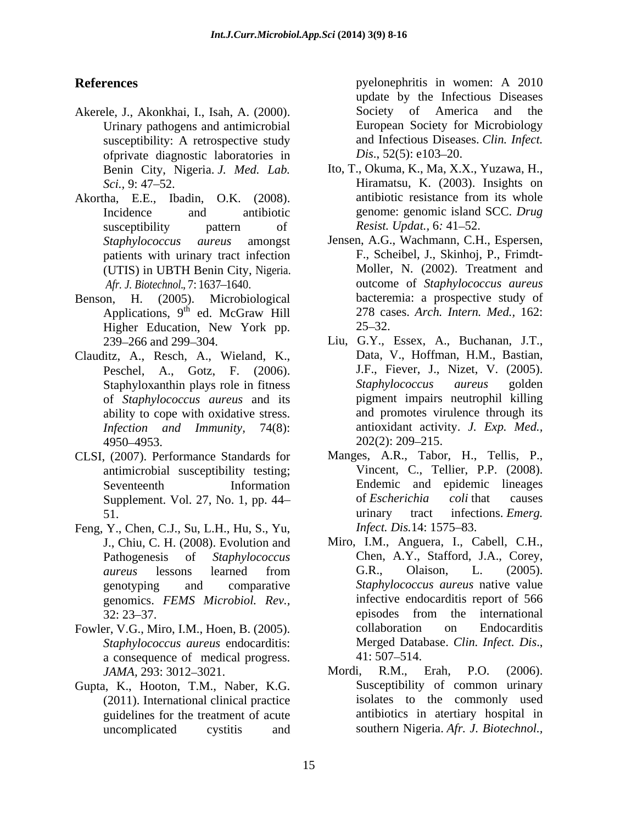- Akerele, J., Akonkhai, I., Isah, A. (2000). Society of America and the Urinary pathogens and antimicrobial susceptibility: A retrospective study and Infectious Diseas<br>of the diagnostic laboratories in  $Dis., 52(5): e103-20.$ ofprivate diagnostic laboratories in Benin City, Nigeria. *J. Med. Lab.*
- patients with urinary tract infection
- Benson, H. (2005). Microbiological Applications,  $9^{th}$  ed. McGraw Hill 278 ca.<br>Higher Education New York pp. 25–32.
- Clauditz, A., Resch, A., Wieland, K., Peschel, A., Gotz, F. (2006). of *Staphylococcus aureus* and its ability to cope with oxidative stress. *Infection and Immunity*, 74(8): antioxidant activi<br>4950–4953. 202(2): 209–215.
- CLSI, (2007). Performance Standards for antimicrobial susceptibility testing;
- Feng, Y., Chen, C.J., Su, L.H., Hu, S., Yu, *Infect. Dis.* 14: 1575–83. J., Chiu, C. H. (2008). Evolution and genomics. *FEMS Microbiol. Rev.,*
- *Staphylococcus aureus* endocarditis: Merged Data<br>a consequence of medical progress 41:507–514. a consequence of medical progress.
- Gupta, K., Hooton, T.M., Naber, K.G. (2011). International clinical practice guidelines for the treatment of acute

**References** pyelonephritis in women: A 2010 pyelonephritis in women: A 2010 update by the Infectious Diseases Society of America and European Society for Microbiology and Infectious Diseases. *Clin. Infect. Dis.*, 52(5): e103–20.

- *Sci.*, 9: 47–52. **Hiramatsu, K. (2003). Insights on** Akortha, E.E., Ibadin, O.K. (2008). Incidence and antibiotic genome: genomic island SCC. *Drug* susceptibility pattern of Resist. Updat., 6: 41–52. Ito, T., Okuma, K., Ma, X.X., Yuzawa, H., antibiotic resistance from its whole *Resist. Updat., 6:* 41–52.
	- *Staphylococcus aureus* amongst Jensen, A.G., Wachmann, C.H., Espersen, (UTIS) in UBTH Benin City, Nigeria. Afr. J. Biotechnol., 7:1637–1640. **outcome of** *Staphylococcus aureus* th 278 cases. *Arch. Intern. Med.,* 162: ed. McGraw Hill 278 cases. Arch. Intern. Med., 162: Higher Education, New York pp.  $25-32$ . F., Scheibel, J., Skinhoj, P., Frimdt- Moller, N. (2002). Treatment and bacteremia: a prospective study of  $25 - 32.$
	- 239 266 and 299 304. Liu, G.Y., Essex, A., Buchanan, J.T., Staphyloxanthin plays role in fitness Staphylococcus aureus golden  $4950 - 4953$ .  $202(2)$ :  $209 - 215$ . Data, V., Hoffman, H.M., Bastian, J.F., Fiever, J., Nizet, V. (2005). *Staphylococcus aureus* golden pigment impairs neutrophil killing and promotes virulence through its antioxidant activity. *J. Exp. Med.,* 202(2): 209 215.
	- Seventeenth Information Endemic and epidemic lineages Supplement. Vol. 27, No. 1, pp. 44– of *Escherichia coli* that causes 51. The urinary tract infections. *Emerg.* Manges, A.R., Tabor, H., Tellis, P., Vincent, C., Tellier, P.P. (2008). of *Escherichia coli* that causes urinary tract infections. *Emerg. Infect. Dis.*14: 1575–83.
- Pathogenesis of *Staphylococcus*  Chen, A.Y., Stafford, J.A., Corey, *aureus* lessons learned from genotyping and comparative *Staphylococcus aureus* native value 32: 23–37. episodes from the international Fowler, V.G., Miro, I.M., Hoen, B. (2005). collaboration on Endocarditis Miro, I.M., Anguera, I., Cabell, C.H., G.R., Olaison, L. (2005). infective endocarditis report of 566 episodes from the international collaboration on Endocarditis Merged Database. *Clin. Infect. Dis*.,  $41:507 - 514$ .
	- *JAMA*, 293: 3012–3021. Mordi, R.M., Erah, P.O. (2006). uncomplicated cystitis and southern Nigeria. *Afr. J. Biotechnol.,*Mordi, R.M., Erah, P.O. (2006). Susceptibility of common urinary isolates to the commonly used antibiotics in atertiary hospital in